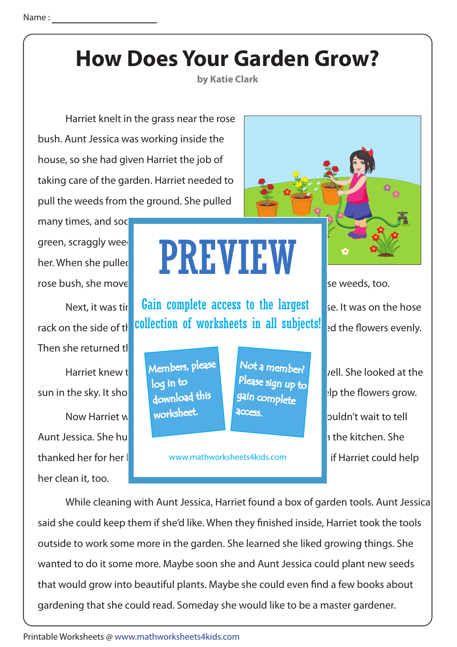**by Katie Clark**

 Harriet knelt in the grass near the rose bush. Aunt Jessica was working inside the house, so she had given Harriet the job of taking care of the garden. Harriet needed to pull the weeds from the ground. She pulled

many times, and soc green, scraggly weed her. When she pulled rose bush, she move

Then she returned the sun in the sky. It shows  $\frac{1}{2}$  up above brightly up above. The superioris grow. Aunt Jessica. She hull all the house. Aunt Jessica worked in the kitchen. She her clean it, too.

## PREVIEW

Next, it was tir **Gain complete access to the largest** se. It was on the hose rack on the side of the **collection of worksheets in all subjects!** and the flowers evenly.

> Members, please download this worksheet. log in to

Not a member? gain complete Please sign up to **access** 

thanked her for her letther www.mathworksheets4kids.com **the attice if Harriet could help** 

Harriet knew the "own method" were monography well. She looked at the Harriet knew the  $\frac{1}{2}$ Now Harriet was done worksheet. The greess, the garden wait to tell

 While cleaning with Aunt Jessica, Harriet found a box of garden tools. Aunt Jessica said she could keep them if she'd like. When they finished inside, Harriet took the tools outside to work some more in the garden. She learned she liked growing things. She wanted to do it some more. Maybe soon she and Aunt Jessica could plant new seeds that would grow into beautiful plants. Maybe she could even find a few books about gardening that she could read. Someday she would like to be a master gardener.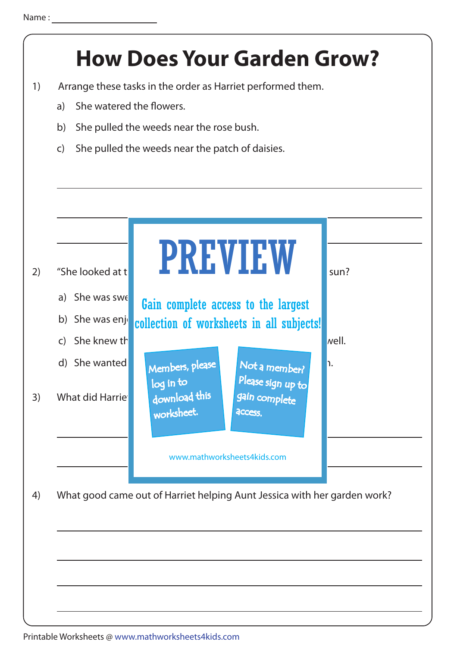## 3) What did Harriet a download this a gain c 4) What good came out of Harriet helping Aunt Jessica with her garden work? 2) "She looked at the sun? b) She was enjour collection of worksheets in all subjects! a) She was sweep Gain complete access to the largest d) She wanted to members, please the Not a member? c) She knew the  $\blacksquare$ **How Does Your Garden Grow?** 1) Arrange these tasks in the order as Harriet performed them. a) She watered the flowers. b) She pulled the weeds near the rose bush. c) She pulled the weeds near the patch of daisies. www.mathworksheets4kids.com worksheet. log in to Not a member? gain complete Please sign up to **access**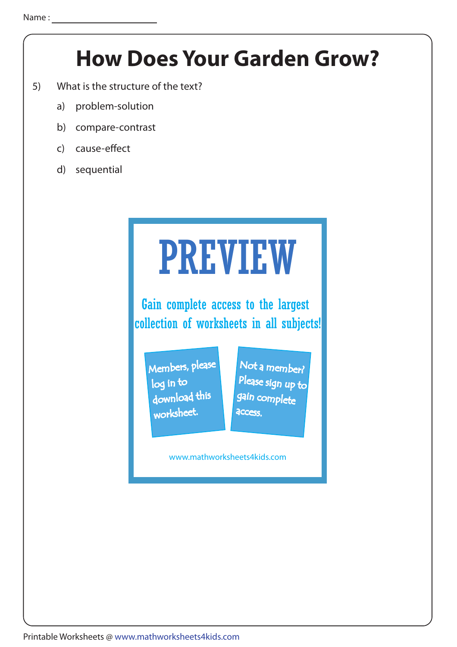- 5) What is the structure of the text?
	- a) problem-solution
	- b) compare-contrast
	- c) cause-effect
	- d) sequential

## PREVIEW

Gain complete access to the largest collection of worksheets in all subjects!

Members, please download this worksheet. log in to

Not a member? gain complete Please sign up to **access** 

www.mathworksheets4kids.com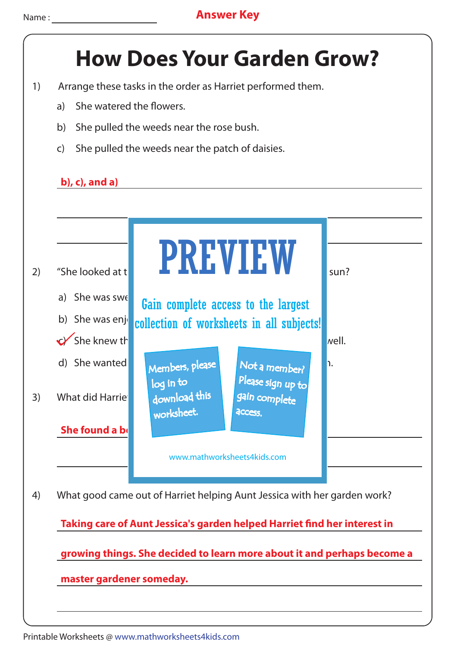- 1) Arrange these tasks in the order as Harriet performed them.
	- a) She watered the flowers.
	- b) She pulled the weeds near the rose bush.
	- c) She pulled the weeds near the patch of daisies.

#### **b), c), and a)**



Printable Worksheets @ www.mathworksheets4kids.com